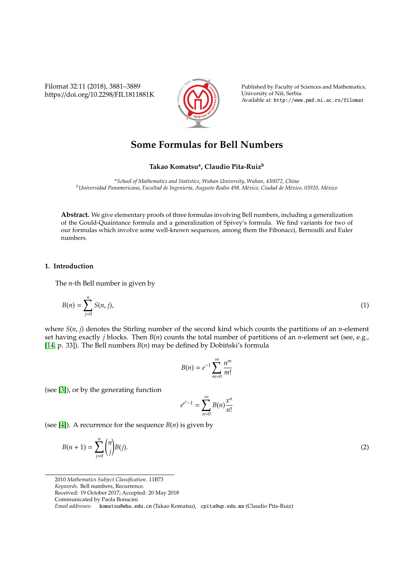Filomat 32:11 (2018), 3881–3889 https://doi.org/10.2298/FIL1811881K



Published by Faculty of Sciences and Mathematics, University of Nis, Serbia ˇ Available at: http://www.pmf.ni.ac.rs/filomat

# **Some Formulas for Bell Numbers**

## **Takao Komatsu<sup>a</sup> , Claudio Pita-Ruiz<sup>b</sup>**

*<sup>a</sup>School of Mathematics and Statistics, Wuhan University, Wuhan, 430072, China <sup>b</sup>Universidad Panamericana, Facultad de Ingenier´ıa, Augusto Rodin 498, M´exico, Ciudad de M´exico, 03920, M´exico*

**Abstract.** We give elementary proofs of three formulas involving Bell numbers, including a generalization of the Gould-Quaintance formula and a generalization of Spivey's formula. We find variants for two of our formulas which involve some well-known sequences, among them the Fibonacci, Bernoulli and Euler numbers.

## **1. Introduction**

The *n*-th Bell number is given by

$$
B(n) = \sum_{j=0}^{n} S(n, j),
$$
 (1)

where *S*(*n*, *j*) denotes the Stirling number of the second kind which counts the partitions of an *n*-element set having exactly *j* blocks. Then *B*(*n*) counts the total number of partitions of an *n*-element set (see, e.g., [\[14,](#page-8-0) p. 33]). The Bell numbers  $B(n)$  may be defined by Dobiński's formula

<span id="page-0-1"></span>
$$
B(n) = e^{-1} \sum_{m=0}^{\infty} \frac{n^m}{m!}
$$

(see [\[3\]](#page-8-1)), or by the generating function

<span id="page-0-0"></span>
$$
e^{e^x-1} = \sum_{n=0}^{\infty} B(n) \frac{x^n}{n!}
$$

(see [\[4\]](#page-8-2)). A recurrence for the sequence  $B(n)$  is given by

$$
B(n+1) = \sum_{j=0}^{n} {n \choose j} B(j).
$$
 (2)

<sup>2010</sup> *Mathematics Subject Classification*. 11B73

*Keywords*. Bell numbers, Recurrence.

Received: 19 October 2017; Accepted: 20 May 2018

Communicated by Paola Bonacini

*Email addresses:* komatsu@whu.edu.cn (Takao Komatsu), cpita@up.edu.mx (Claudio Pita-Ruiz)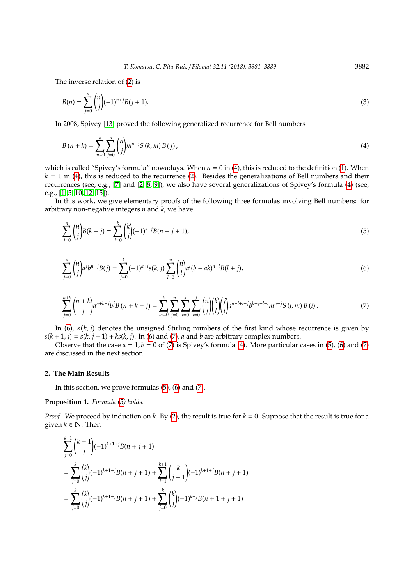The inverse relation of [\(2\)](#page-0-0) is

<span id="page-1-4"></span>
$$
B(n) = \sum_{j=0}^{n} {n \choose j} (-1)^{n+j} B(j+1).
$$
 (3)

In 2008, Spivey [\[13\]](#page-8-3) proved the following generalized recurrence for Bell numbers

<span id="page-1-0"></span>
$$
B(n+k) = \sum_{m=0}^{k} \sum_{j=0}^{n} {n \choose j} m^{n-j} S(k, m) B(j),
$$
\n(4)

which is called "Spivey's formula" nowadays. When  $n = 0$  in [\(4\)](#page-1-0), this is reduced to the definition [\(1\)](#page-0-1). When  $k = 1$  in [\(4\)](#page-1-0), this is reduced to the recurrence [\(2\)](#page-0-0). Besides the generalizations of Bell numbers and their recurrences (see, e.g., [\[7\]](#page-8-4) and [\[2,](#page-8-5) [8,](#page-8-6) [9\]](#page-8-7)), we also have several generalizations of Spivey's formula [\(4\)](#page-1-0) (see, e.g., [\[1,](#page-8-8) [5,](#page-8-9) [10,](#page-8-10) [12,](#page-8-11) [15\]](#page-8-12)).

In this work, we give elementary proofs of the following three formulas involving Bell numbers: for arbitrary non-negative integers *n* and *k*, we have

<span id="page-1-3"></span>
$$
\sum_{j=0}^{n} \binom{n}{j} B(k+j) = \sum_{j=0}^{k} \binom{k}{j} (-1)^{k+j} B(n+j+1),\tag{5}
$$

<span id="page-1-1"></span>
$$
\sum_{j=0}^{n} \binom{n}{j} a^j b^{n-j} B(j) = \sum_{j=0}^{k} (-1)^{k+j} s(k,j) \sum_{l=0}^{n} \binom{n}{l} a^l (b - ak)^{n-l} B(l+j),\tag{6}
$$

<span id="page-1-2"></span>
$$
\sum_{j=0}^{n+k} {n+k \choose j} a^{n+k-j} b^j B(n+k-j) = \sum_{m=0}^k \sum_{j=0}^n \sum_{l=0}^k \sum_{i=0}^j {n \choose j} {k \choose l} {j \choose i} a^{n+l+i-j} b^{k+j-l-i} m^{n-j} S(l,m) B(i).
$$
\n(7)

In [\(6\)](#page-1-1),  $s(k, j)$  denotes the unsigned Stirling numbers of the first kind whose recurrence is given by  $s(k + 1, j) = s(k, j - 1) + ks(k, j)$ . In [\(6\)](#page-1-1) and [\(7\)](#page-1-2), *a* and *b* are arbitrary complex numbers.

Observe that the case  $a = 1$ ,  $b = 0$  of [\(7\)](#page-1-2) is Spivey's formula [\(4\)](#page-1-0). More particular cases in [\(5\)](#page-1-3), [\(6\)](#page-1-1) and (7) are discussed in the next section.

## **2. The Main Results**

In this section, we prove formulas [\(5\)](#page-1-3), [\(6\)](#page-1-1) and [\(7\)](#page-1-2).

### **Proposition 1.** *Formula [\(5\)](#page-1-3) holds.*

*Proof.* We proceed by induction on *k*. By [\(2\)](#page-0-0), the result is true for *k* = 0. Suppose that the result is true for a given  $k \in \mathbb{N}$ . Then

$$
\begin{split} &\sum_{j=0}^{k+1} \binom{k+1}{j} (-1)^{k+1+j} B(n+j+1) \\ &= \sum_{j=0}^{k} \binom{k}{j} (-1)^{k+1+j} B(n+j+1) + \sum_{j=1}^{k+1} \binom{k}{j-1} (-1)^{k+1+j} B(n+j+1) \\ &= \sum_{j=0}^{k} \binom{k}{j} (-1)^{k+1+j} B(n+j+1) + \sum_{j=0}^{k} \binom{k}{j} (-1)^{k+j} B(n+1+j+1) \end{split}
$$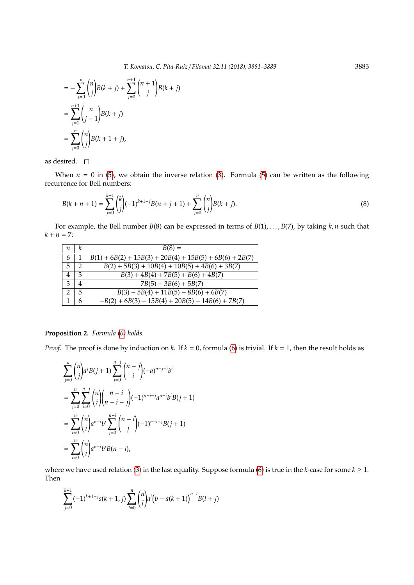$$
= -\sum_{j=0}^{n} {n \choose j} B(k+j) + \sum_{j=0}^{n+1} {n+1 \choose j} B(k+j)
$$
  
= 
$$
\sum_{j=1}^{n+1} {n \choose j-1} B(k+j)
$$
  
= 
$$
\sum_{j=0}^{n} {n \choose j} B(k+1+j),
$$

as desired.  $\quad \Box$ 

When  $n = 0$  in [\(5\)](#page-1-3), we obtain the inverse relation [\(3\)](#page-1-4). Formula (5) can be written as the following recurrence for Bell numbers:

$$
B(k+n+1) = \sum_{j=0}^{k-1} {k \choose j} (-1)^{k+1+j} B(n+j+1) + \sum_{j=0}^{n} {n \choose j} B(k+j).
$$
\n(8)

For example, the Bell number *B*(8) can be expressed in terms of *B*(1), . . . , *B*(7), by taking *k*, *n* such that  $k + n = 7$ :

| п             | κ              | $B(8) =$                                                  |
|---------------|----------------|-----------------------------------------------------------|
| 6             |                | $B(1) + 6B(2) + 15B(3) + 20B(4) + 15B(5) + 6B(6) + 2B(7)$ |
| 5             | っ              | $B(2) + 5B(3) + 10B(4) + 10B(5) + 4B(6) + 3B(7)$          |
| 4             | 3              | $B(3) + 4B(4) + 7B(5) + B(6) + 4B(7)$                     |
| 3             | $\overline{4}$ | $7B(5) - 3B(6) + 5B(7)$                                   |
| $\mathcal{P}$ | 5              | $B(3) - 5B(4) + 11B(5) - 8B(6) + 6B(7)$                   |
|               | 6              | $-B(2) + 6B(3) - 15B(4) + 20B(5) - 14B(6) + 7B(7)$        |

## **Proposition 2.** *Formula [\(6\)](#page-1-1) holds.*

*Proof.* The proof is done by induction on *k*. If *k* = 0, formula [\(6\)](#page-1-1) is trivial. If *k* = 1, then the result holds as

$$
\sum_{j=0}^{n} {n \choose j} a^{j} B(j+1) \sum_{i=0}^{n-j} {n-j \choose i} (-a)^{n-j-i} b^{i}
$$
  
= 
$$
\sum_{j=0}^{n} \sum_{i=0}^{n-j} {n \choose i} {n-i \choose n-i-j} (-1)^{n-i-j} a^{n-i} b^{i} B(j+1)
$$
  
= 
$$
\sum_{i=0}^{n} {n \choose i} a^{n-i} b^{i} \sum_{j=0}^{n-i} {n-i \choose j} (-1)^{n-i-j} B(j+1)
$$
  
= 
$$
\sum_{i=0}^{n} {n \choose i} a^{n-i} b^{i} B(n-i),
$$

where we have used relation [\(3\)](#page-1-4) in the last equality. Suppose formula [\(6\)](#page-1-1) is true in the *k*-case for some  $k \ge 1$ . Then

$$
\sum_{j=0}^{k+1} (-1)^{k+1+j} s(k+1,j) \sum_{l=0}^{n} {n \choose l} a^{l} (b-a(k+1))^{n-l} B(l+j)
$$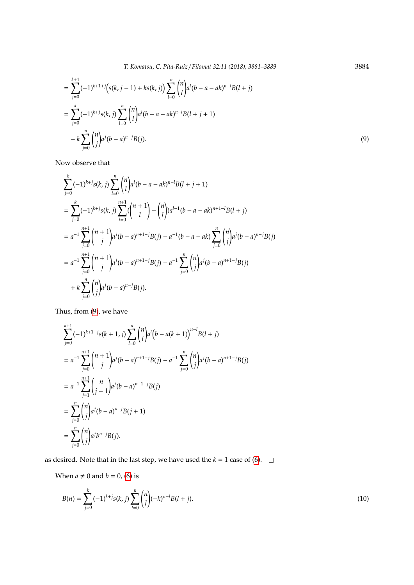$$
= \sum_{j=0}^{k+1} (-1)^{k+1+j} (s(k, j-1) + ks(k, j)) \sum_{l=0}^{n} {n \choose l} a^{l} (b-a - ak)^{n-l} B(l+j)
$$
  

$$
= \sum_{j=0}^{k} (-1)^{k+j} s(k, j) \sum_{l=0}^{n} {n \choose l} a^{l} (b-a - ak)^{n-l} B(l+j+1)
$$
  

$$
- k \sum_{j=0}^{n} {n \choose j} a^{j} (b-a)^{n-j} B(j).
$$
 (9)

Now observe that

$$
\sum_{j=0}^{k} (-1)^{k+j} s(k, j) \sum_{l=0}^{n} {n \choose l} a^{l} (b - a - ak)^{n-l} B(l + j + 1)
$$
  
= 
$$
\sum_{j=0}^{k} (-1)^{k+j} s(k, j) \sum_{l=0}^{n+1} {n+1 \choose l} - {n \choose l} a^{l-1} (b - a - ak)^{n+1-l} B(l + j)
$$
  
= 
$$
a^{-1} \sum_{j=0}^{n+1} {n+1 \choose j} a^{j} (b - a)^{n+1-j} B(j) - a^{-1} (b - a - ak) \sum_{j=0}^{n} {n \choose j} a^{j} (b - a)^{n-j} B(j)
$$
  
= 
$$
a^{-1} \sum_{j=0}^{n+1} {n+1 \choose j} a^{j} (b - a)^{n+1-j} B(j) - a^{-1} \sum_{j=0}^{n} {n \choose j} a^{j} (b - a)^{n+1-j} B(j)
$$
  
+ 
$$
k \sum_{j=0}^{n} {n \choose j} a^{j} (b - a)^{n-j} B(j).
$$

Thus, from [\(9\)](#page-3-0), we have

$$
\sum_{j=0}^{k+1} (-1)^{k+1+j} s(k+1, j) \sum_{l=0}^{n} {n \choose l} a^{l} (b - a(k+1))^{n-l} B(l+j)
$$
  
=  $a^{-1} \sum_{j=0}^{n+1} {n+1 \choose j} a^{j} (b-a)^{n+1-j} B(j) - a^{-1} \sum_{j=0}^{n} {n \choose j} a^{j} (b-a)^{n+1-j} B(j)$   
=  $a^{-1} \sum_{j=1}^{n+1} {n \choose j-1} a^{j} (b-a)^{n+1-j} B(j)$   
=  $\sum_{j=0}^{n} {n \choose j} a^{j} (b-a)^{n-j} B(j+1)$   
=  $\sum_{j=0}^{n} {n \choose j} a^{j} b^{n-j} B(j).$ 

as desired. Note that in the last step, we have used the  $k = 1$  case of [\(6\)](#page-1-1).  $\Box$ 

When  $a \neq 0$  and  $b = 0$ , [\(6\)](#page-1-1) is

$$
B(n) = \sum_{j=0}^{k} (-1)^{k+j} s(k, j) \sum_{l=0}^{n} {n \choose l} (-k)^{n-l} B(l+j).
$$
\n(10)

<span id="page-3-0"></span>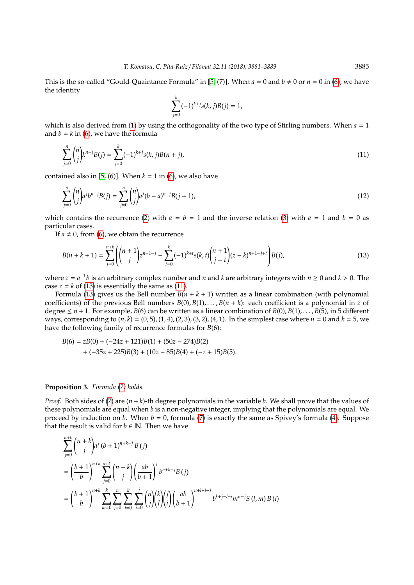This is the so-called "Gould-Quaintance Formula" in [\[5,](#page-8-9) (7)]. When  $a = 0$  and  $b \neq 0$  or  $n = 0$  in [\(6\)](#page-1-1), we have the identity

<span id="page-4-1"></span>
$$
\sum_{j=0}^{k} (-1)^{k+j} s(k, j)B(j) = 1,
$$

which is also derived from [\(1\)](#page-0-1) by using the orthogonality of the two type of Stirling numbers. When  $a = 1$ and  $b = k$  in [\(6\)](#page-1-1), we have the formula

$$
\sum_{j=0}^{n} \binom{n}{j} k^{n-j} B(j) = \sum_{j=0}^{k} (-1)^{k+j} s(k, j) B(n+j),\tag{11}
$$

contained also in [\[5,](#page-8-9) [\(6\)](#page-1-1)]. When  $k = 1$  in (6), we also have

$$
\sum_{j=0}^{n} \binom{n}{j} a^j b^{n-j} B(j) = \sum_{j=0}^{n} \binom{n}{j} a^j (b-a)^{n-j} B(j+1),\tag{12}
$$

which contains the recurrence [\(2\)](#page-0-0) with  $a = b = 1$  and the inverse relation [\(3\)](#page-1-4) with  $a = 1$  and  $b = 0$  as particular cases.

If  $a \neq 0$ , from [\(6\)](#page-1-1), we obtain the recurrence

<span id="page-4-0"></span>
$$
B(n+k+1) = \sum_{j=0}^{n+k} \left( {n+1 \choose j} z^{n+1-j} - \sum_{t=0}^k (-1)^{k+t} s(k,t) {n+1 \choose j-t} (z-k)^{n+1-j+t} \right) B(j),\tag{13}
$$

where  $z = a^{-1}b$  is an arbitrary complex number and *n* and *k* are arbitrary integers with  $n \ge 0$  and  $k > 0$ . The case  $z = k$  of [\(13\)](#page-4-0) is essentially the same as [\(11\)](#page-4-1).

Formula [\(13\)](#page-4-0) gives us the Bell number  $B(n + k + 1)$  written as a linear combination (with polynomial coefficients) of the previous Bell numbers  $B(0), B(1), \ldots, B(n+k)$ : each coefficient is a polynomial in *z* of degree  $\leq n+1$ . For example, *B*(6) can be written as a linear combination of *B*(0), *B*(1), ..., *B*(5), in 5 different ways, corresponding to  $(n, k) = (0.5), (1, 4), (2, 3), (3, 2), (4, 1)$ . In the simplest case where  $n = 0$  and  $k = 5$ , we have the following family of recurrence formulas for *B*(6):

$$
B(6) = zB(0) + (-24z + 121)B(1) + (50z - 274)B(2)
$$
  
+ (-35z + 225)B(3) + (10z - 85)B(4) + (-z + 15)B(5).

#### **Proposition 3.** *Formula [\(7\)](#page-1-2) holds.*

*Proof.* Both sides of [\(7\)](#page-1-2) are (*n* + *k*)-th degree polynomials in the variable *b*. We shall prove that the values of these polynomials are equal when *b* is a non-negative integer, implying that the polynomials are equal. We proceed by induction on *b*. When  $b = 0$ , formula [\(7\)](#page-1-2) is exactly the same as Spivey's formula [\(4\)](#page-1-0). Suppose that the result is valid for  $b \in \mathbb{N}$ . Then we have

$$
\sum_{j=0}^{n+k} {n+k \choose j} a^j (b+1)^{n+k-j} B(j)
$$
  
=  $\left(\frac{b+1}{b}\right)^{n+k} \sum_{j=0}^{n+k} {n+k \choose j} \left(\frac{ab}{b+1}\right)^j b^{n+k-j} B(j)$   
=  $\left(\frac{b+1}{b}\right)^{n+k} \sum_{m=0}^k \sum_{j=0}^n \sum_{l=0}^k \sum_{i=0}^j {n \choose j} {k \choose l} {j \choose i} \left(\frac{ab}{b+1}\right)^{n+l+i-j} b^{k+j-l-i} m^{n-j} S(l, m) B(i)$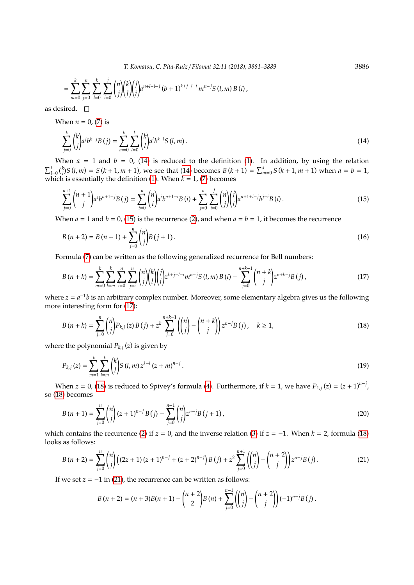<span id="page-5-1"></span>*T. Komatsu, C. Pita-Ruiz* / *Filomat 32:11 (2018), 3881–3889* 3886

$$
= \sum_{m=0}^{k} \sum_{j=0}^{n} \sum_{l=0}^{k} \sum_{i=0}^{j} {n \choose j} {k \choose l} {j \choose i} a^{n+l+i-j} (b+1)^{k+j-l-i} m^{n-j} S(l,m) B(i),
$$

as desired.  $\square$ 

When  $n = 0$ , [\(7\)](#page-1-2) is

<span id="page-5-0"></span>
$$
\sum_{j=0}^{k} {k \choose j} a^{j} b^{k-j} B(j) = \sum_{m=0}^{k} \sum_{l=0}^{k} {k \choose l} a^{l} b^{k-l} S(l, m).
$$
\n(14)

When  $a = 1$  and  $b = 0$ , [\(14\)](#page-5-0) is reduced to the definition [\(1\)](#page-0-1). In addition, by using the relation  $\sum_{l=0}^{k} {k \choose l} S(l,m) = S(k+1,m+1)$ , we see that [\(14\)](#page-5-0) becomes  $B(k+1) = \sum_{m=0}^{k} S(k+1,m+1)$  when  $a = b = 1$ , which is essentially the definition [\(1\)](#page-0-1). When *k* = 1, [\(7\)](#page-1-2) becomes

$$
\sum_{j=0}^{n+1} {n+1 \choose j} a^j b^{n+1-j} B(j) = \sum_{i=0}^n {n \choose i} a^i b^{n+1-i} B(i) + \sum_{j=0}^n \sum_{i=0}^j {n \choose j} {j \choose i} a^{n+1+i-j} b^{j-i} B(i).
$$
\n(15)

When  $a = 1$  and  $b = 0$ , [\(15\)](#page-5-1) is the recurrence [\(2\)](#page-0-0), and when  $a = b = 1$ , it becomes the recurrence

$$
B(n+2) = B(n+1) + \sum_{j=0}^{n} {n \choose j} B(j+1).
$$
 (16)

Formula [\(7\)](#page-1-2) can be written as the following generalized recurrence for Bell numbers:

$$
B(n+k) = \sum_{m=0}^{k} \sum_{l=m}^{k} \sum_{i=0}^{n} \sum_{j=i}^{n} {n \choose j} {k \choose l} {j \choose i} z^{k+j-l-i} m^{n-j} S(l,m) B(i) - \sum_{j=0}^{n+k-1} {n+k \choose j} z^{n+k-j} B(j), \qquad (17)
$$

where  $z = a^{-1}b$  is an arbitrary complex number. Moreover, some elementary algebra gives us the following more interesting form for [\(17\)](#page-5-2):

<span id="page-5-3"></span>
$$
B(n+k) = \sum_{j=0}^{n} {n \choose j} P_{k,j}(z) B(j) + z^{k} \sum_{j=0}^{n+k-1} {n \choose j} - {n+k \choose j} z^{n-j} B(j), \quad k \ge 1,
$$
\n(18)

where the polynomial *Pk*,*<sup>j</sup>* (*z*) is given by

$$
P_{k,j}(z) = \sum_{m=1}^{k} \sum_{l=m}^{k} {k \choose l} S(l,m) z^{k-l} (z+m)^{n-j}.
$$
\n(19)

When  $z = 0$ , [\(18\)](#page-5-3) is reduced to Spivey's formula [\(4\)](#page-1-0). Furthermore, if  $k = 1$ , we have  $P_{1,j}(z) = (z + 1)^{n-j}$ , so [\(18\)](#page-5-3) becomes

$$
B(n+1) = \sum_{j=0}^{n} {n \choose j} (z+1)^{n-j} B(j) - \sum_{j=0}^{n-1} {n \choose j} z^{n-j} B(j+1),
$$
\n(20)

which contains the recurrence [\(2\)](#page-0-0) if *z* = 0, and the inverse relation [\(3\)](#page-1-4) if *z* = −1. When *k* = 2, formula [\(18\)](#page-5-3) looks as follows:

<span id="page-5-4"></span>
$$
B(n+2) = \sum_{j=0}^{n} {n \choose j} \Big( (2z+1)(z+1)^{n-j} + (z+2)^{n-j} \Big) B(j) + z^2 \sum_{j=0}^{n+1} {n \choose j} - {n+2 \choose j} z^{n-j} B(j).
$$
 (21)

If we set  $z = -1$  in [\(21\)](#page-5-4), the recurrence can be written as follows:

$$
B(n+2) = (n+3)B(n+1) - {n+2 \choose 2}B(n) + \sum_{j=0}^{n-1} {n \choose j} - {n+2 \choose j}(-1)^{n-j}B(j).
$$

<span id="page-5-2"></span>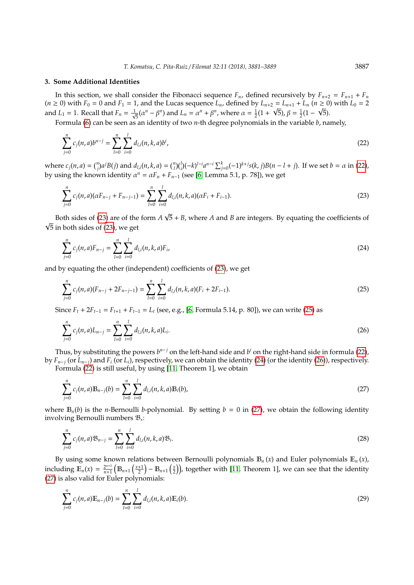#### **3. Some Additional Identities**

In this section, we shall consider the Fibonacci sequence  $F_n$ , defined recursively by  $F_{n+2} = F_{n+1} + F_n$  $(n ≥ 0)$  with  $F_0 = 0$  and  $F_1 = 1$ , and the Lucas sequence  $L_n$ , defined by  $L_{n+2} = L_{n+1} + L_n$   $(n ≥ 0)$  with  $L_0 = 2$ and  $L_1 = 1$ . Recall that  $F_n = \frac{1}{\sqrt{n}}$  $\frac{1}{5}$ ( $\alpha^{n}$  –  $\beta^{n}$ ) and *L<sub>n</sub>* =  $\alpha^{n}$  +  $\beta^{n}$ , where  $\alpha = \frac{1}{2}(1 + \sqrt{5})$ ,  $\beta = \frac{1}{2}(1 - \sqrt{5})$ .

Formula [\(6\)](#page-1-1) can be seen as an identity of two *n*-th degree polynomials in the variable *b*, namely,

$$
\sum_{j=0}^{n} c_j(n, a)b^{n-j} = \sum_{l=0}^{n} \sum_{i=0}^{l} d_{l,i}(n, k, a)b^i,
$$
\n(22)

where  $c_j(n, a) = {n \choose j} a^j B(j)$  and  $d_{l,i}(n, k, a) = {n \choose l} {l \choose i} (-k)^{l-i} a^{n-i} \sum_{j=0}^k (-1)^{k+j} s(k, j) B(n - l + j)$ . If we set  $b = \alpha$  in [\(22\)](#page-6-0), by using the known identity  $\alpha^n = \alpha F_n + F_{n-1}$  (see [\[6,](#page-8-13) Lemma 5.1, p. 78]), we get

$$
\sum_{j=0}^{n} c_j(n, a)(\alpha F_{n-j} + F_{n-j-1}) = \sum_{l=0}^{n} \sum_{i=0}^{l} d_{l,i}(n, k, a)(\alpha F_i + F_{i-1}).
$$
\n(23)

Both sides of [\(23\)](#page-6-1) are of the form *A* 5 + *B*, where *A* and *B* are integers. By equating the coefficients of √  $\sqrt{5}$  in both sides of [\(23\)](#page-6-1), we get

<span id="page-6-3"></span>
$$
\sum_{j=0}^{n} c_j(n, a) F_{n-j} = \sum_{l=0}^{n} \sum_{i=0}^{l} d_{l,i}(n, k, a) F_i,
$$
\n(24)

and by equating the other (independent) coefficients of [\(23\)](#page-6-1), we get

<span id="page-6-2"></span>
$$
\sum_{j=0}^{n} c_j(n, a)(F_{n-j} + 2F_{n-j-1}) = \sum_{l=0}^{n} \sum_{i=0}^{l} d_{l,i}(n, k, a)(F_i + 2F_{i-1}).
$$
\n(25)

Since  $F_t + 2F_{t-1} = F_{t+1} + F_{t-1} = L_t$  (see, e.g., [\[6,](#page-8-13) Formula 5.14, p. 80]), we can write [\(25\)](#page-6-2) as

$$
\sum_{j=0}^{n} c_j(n, a) L_{n-j} = \sum_{l=0}^{n} \sum_{i=0}^{l} d_{l,i}(n, k, a) L_i.
$$
 (26)

Thus, by substituting the powers  $b^{n-j}$  on the left-hand side and  $b^i$  on the right-hand side in formula [\(22\)](#page-6-0), by  $F_{n-j}$  (or  $L_{n-j}$ ) and  $F_i$  (or  $L_i$ ), respectively, we can obtain the identity [\(24\)](#page-6-3) (or the identity [\(26\)](#page-6-4)), respectively.

Formula [\(22\)](#page-6-0) is still useful, by using [\[11,](#page-8-14) Theorem 1], we obtain

<span id="page-6-5"></span>
$$
\sum_{j=0}^{n} c_j(n, a) \mathbb{B}_{n-j}(b) = \sum_{l=0}^{n} \sum_{i=0}^{l} d_{l,i}(n, k, a) \mathbb{B}_i(b),
$$
\n(27)

where  $\mathbb{B}_n(b)$  is the *n*-Bernoulli *b*-polynomial. By setting  $b = 0$  in [\(27\)](#page-6-5), we obtain the following identity involving Bernoulli numbers B<sup>∗</sup> :

<span id="page-6-7"></span>
$$
\sum_{j=0}^{n} c_j(n, a) \mathfrak{B}_{n-j} = \sum_{l=0}^{n} \sum_{i=0}^{l} d_{l,i}(n, k, a) \mathfrak{B}_i.
$$
 (28)

By using some known relations between Bernoulli polynomials  $\mathbb{B}_n(x)$  and Euler polynomials  $\mathbb{E}_n(x)$ , including  $\mathbb{E}_n(x) = \frac{2^{n+1}}{n+1}$  $\frac{2^{n+1}}{n+1}\left(\mathbb{B}_{n+1}\left(\frac{x+1}{2}\right)-\mathbb{B}_{n+1}\left(\frac{x}{2}\right)\right)$ , together with [\[11,](#page-8-14) Theorem 1], we can see that the identity [\(27\)](#page-6-5) is also valid for Euler polynomials:

<span id="page-6-6"></span>
$$
\sum_{j=0}^{n} c_j(n, a) \mathbb{E}_{n-j}(b) = \sum_{l=0}^{n} \sum_{i=0}^{l} d_{l,i}(n, k, a) \mathbb{E}_i(b).
$$
 (29)

<span id="page-6-4"></span><span id="page-6-1"></span><span id="page-6-0"></span>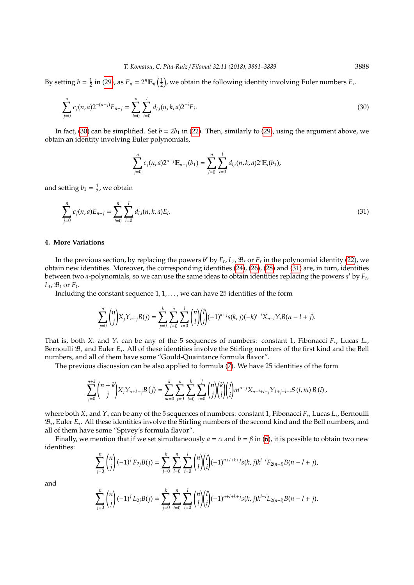By setting  $b = \frac{1}{2}$  in [\(29\)](#page-6-6), as  $E_n = 2^n \mathbb{E}_n\left(\frac{1}{2}\right)$ , we obtain the following identity involving Euler numbers  $E_*$ .

$$
\sum_{j=0}^{n} c_j(n,a) 2^{-(n-j)} E_{n-j} = \sum_{l=0}^{n} \sum_{i=0}^{l} d_{l,i}(n,k,a) 2^{-i} E_i.
$$
\n(30)

In fact, [\(30\)](#page-7-0) can be simplified. Set  $b = 2b_1$  in [\(22\)](#page-6-0). Then, similarly to [\(29\)](#page-6-6), using the argument above, we obtain an identity involving Euler polynomials,

<span id="page-7-1"></span><span id="page-7-0"></span>
$$
\sum_{j=0}^n c_j(n,a) 2^{n-j} \mathbb{E}_{n-j}(b_1) = \sum_{l=0}^n \sum_{i=0}^l d_{l,i}(n,k,a) 2^i \mathbb{E}_i(b_1),
$$

and setting  $b_1 = \frac{1}{2}$ , we obtain

$$
\sum_{j=0}^{n} c_j(n, a) E_{n-j} = \sum_{l=0}^{n} \sum_{i=0}^{l} d_{l,i}(n, k, a) E_i.
$$
 (31)

## **4. More Variations**

In the previous section, by replacing the powers *b <sup>r</sup>* by *F<sup>r</sup>* , *L<sup>r</sup>* , B*<sup>r</sup>* or *E<sup>r</sup>* in the polynomial identity [\(22\)](#page-6-0), we obtain new identities. Moreover, the corresponding identities [\(24\)](#page-6-3), [\(26\)](#page-6-4), [\(28\)](#page-6-7) and [\(31\)](#page-7-1) are, in turn, identities between two *a*-polynomials, so we can use the same ideas to obtain identities replacing the powers *a <sup>t</sup>* by *F<sup>t</sup>* ,  $L_t$ ,  $\mathfrak{B}_t$  or  $E_t$ .

Including the constant sequence  $1, 1, \ldots$ , we can have 25 identities of the form

$$
\sum_{j=0}^n \binom{n}{j} X_j Y_{n-j} B(j) = \sum_{j=0}^k \sum_{l=0}^n \sum_{i=0}^l \binom{n}{l} \binom{l}{i} (-1)^{k+j} s(k,j) (-k)^{l-i} X_{n-i} Y_i B(n-l+j).
$$

That is, both *X*<sup>∗</sup> and *Y*<sup>∗</sup> can be any of the 5 sequences of numbers: constant 1, Fibonacci *F*<sup>∗</sup> , Lucas *L*<sup>∗</sup> , Bernoulli B<sup>∗</sup> and Euler *E*<sup>∗</sup> . All of these identities involve the Stirling numbers of the first kind and the Bell numbers, and all of them have some "Gould-Quaintance formula flavor".

The previous discussion can be also applied to formula [\(7\)](#page-1-2). We have 25 identities of the form

$$
\sum_{j=0}^{n+k} {n+k \choose j} X_j Y_{n+k-j} B(j) = \sum_{m=0}^{k} \sum_{j=0}^{n} \sum_{l=0}^{k} \sum_{i=0}^{j} {n \choose j} {k \choose l} {j \choose l} m^{n-j} X_{n+l+i-j} Y_{k+j-l-i} S(l,m) B(i),
$$

where both *X*<sup>∗</sup> and *Y*<sup>∗</sup> can be any of the 5 sequences of numbers: constant 1, Fibonacci *F*<sup>∗</sup> , Lucas *L*<sup>∗</sup> , Bernoulli B<sup>∗</sup> , Euler *E*<sup>∗</sup> . All these identities involve the Stirling numbers of the second kind and the Bell numbers, and all of them have some "Spivey's formula flavor".

Finally, we mention that if we set simultaneously  $a = \alpha$  and  $b = \beta$  in [\(6\)](#page-1-1), it is possible to obtain two new identities:

$$
\sum_{j=0}^n \binom{n}{j} (-1)^j F_{2j} B(j) = \sum_{j=0}^k \sum_{l=0}^n \sum_{i=0}^l \binom{n}{l} \binom{l}{i} (-1)^{n+l+k+j} s(k, j) k^{l-i} F_{2(n-i)} B(n-l+j),
$$

and

$$
\sum_{j=0}^n \binom{n}{j} (-1)^j L_{2j} B(j) = \sum_{j=0}^k \sum_{l=0}^n \sum_{i=0}^l \binom{n}{l} \binom{l}{i} (-1)^{n+l+k+j} s(k, j) k^{l-i} L_{2(n-i)} B(n-l+j).
$$